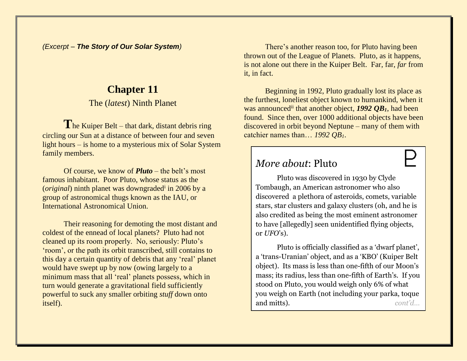*(Excerpt – The Story of Our Solar System)*

## **Chapter 11**

The (*latest*) Ninth Planet

The Kuiper Belt – that dark, distant debris ring circling our Sun at a distance of between four and seven light hours – is home to a mysterious mix of Solar System family members.

Of course, we know of *Pluto* – the belt's most famous inhabitant. Poor Pluto, whose status as the (*original*) ninth planet was downgraded<sup>i</sup> in 2006 by a group of astronomical thugs known as the IAU, or International Astronomical Union.

Their reasoning for demoting the most distant and coldest of the ennead of local planets? Pluto had not cleaned up its room properly. No, seriously: Pluto's 'room', or the path its orbit transcribed, still contains to this day a certain quantity of debris that any 'real' planet would have swept up by now (owing largely to a minimum mass that all 'real' planets possess, which in turn would generate a gravitational field sufficiently powerful to suck any smaller orbiting *stuff* down onto itself).

There's another reason too, for Pluto having been thrown out of the League of Planets. Pluto, as it happens, is not alone out there in the Kuiper Belt. Far, far, *far* from it, in fact.

Beginning in 1992, Pluto gradually lost its place as the furthest, loneliest object known to humankind, when it was announcedii that another object, *1992 QB1*, had been found. Since then, over 1000 additional objects have been discovered in orbit beyond Neptune – many of them with catchier names than… *1992 QB1*.

# *More about*: Pluto

Pluto was discovered in 1930 by Clyde Tombaugh, an American astronomer who also discovered a plethora of asteroids, comets, variable stars, star clusters and galaxy clusters (oh, and he is also credited as being the most eminent astronomer to have [allegedly] seen unidentified flying objects, or *UFO*'s).

Pluto is officially classified as a 'dwarf planet', a 'trans-Uranian' object, and as a 'KBO' (Kuiper Belt object). Its mass is less than one-fifth of our Moon's mass; its radius, less than one-fifth of Earth's. If you stood on Pluto, you would weigh only 6% of what you weigh on Earth (not including your parka, toque and mitts). *cont'd…*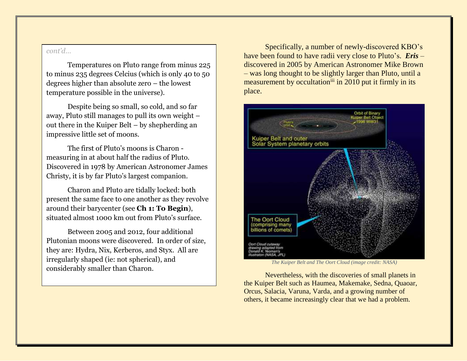#### *cont'd…*

Temperatures on Pluto range from minus 225 to minus 235 degrees Celcius (which is only 40 to 50 degrees higher than absolute zero – the lowest temperature possible in the universe).

Despite being so small, so cold, and so far away, Pluto still manages to pull its own weight – out there in the Kuiper Belt – by shepherding an impressive little set of moons.

The first of Pluto's moons is Charon measuring in at about half the radius of Pluto. Discovered in 1978 by American Astronomer James Christy, it is by far Pluto's largest companion.

Charon and Pluto are tidally locked: both present the same face to one another as they revolve around their barycenter (see **Ch 1: To Begin**), situated almost 1000 km out from Pluto's surface.

Between 2005 and 2012, four additional Plutonian moons were discovered. In order of size, they are: Hydra, Nix, Kerberos, and Styx. All are irregularly shaped (ie: not spherical), and considerably smaller than Charon.

Specifically, a number of newly-discovered KBO's have been found to have radii very close to Pluto's. *Eris* – discovered in 2005 by American Astronomer Mike Brown – was long thought to be slightly larger than Pluto, until a measurement by occultation<sup>iii</sup> in 2010 put it firmly in its place.



*The Kuiper Belt and The Oort Cloud (image credit: NASA)*

Nevertheless, with the discoveries of small planets in the Kuiper Belt such as Haumea, Makemake, Sedna, Quaoar, Orcus, Salacia, Varuna, Varda, and a growing number of others, it became increasingly clear that we had a problem.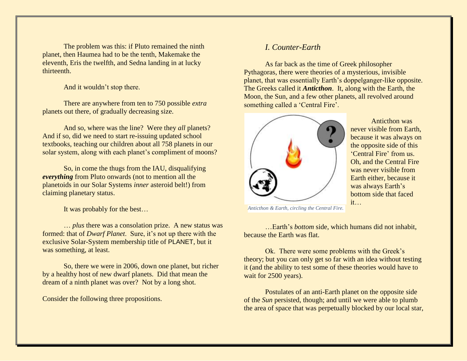The problem was this: if Pluto remained the ninth planet, then Haumea had to be the tenth, Makemake the eleventh, Eris the twelfth, and Sedna landing in at lucky thirteenth.

And it wouldn't stop there.

There are anywhere from ten to 750 possible *extra* planets out there, of gradually decreasing size.

And so, where was the line? Were they *all* planets? And if so, did we need to start re-issuing updated school textbooks, teaching our children about all 758 planets in our solar system, along with each planet's compliment of moons?

So, in come the thugs from the IAU, disqualifying *everything* from Pluto onwards (not to mention all the planetoids in our Solar Systems *inner* asteroid belt!) from claiming planetary status.

It was probably for the best…

… *plus* there was a consolation prize. A new status was formed: that of *Dwarf Planet*. Sure, it's not up there with the exclusive Solar-System membership title of PLANET, but it was something, at least.

So, there we were in 2006, down one planet, but richer by a healthy host of new dwarf planets. Did that mean the dream of a ninth planet was over? Not by a long shot.

Consider the following three propositions.

### *I. Counter-Earth*

As far back as the time of Greek philosopher Pythagoras, there were theories of a mysterious, invisible planet, that was essentially Earth's doppelganger-like opposite. The Greeks called it *Anticthon*. It, along with the Earth, the Moon, the Sun, and a few other planets, all revolved around something called a 'Central Fire'.



Anticthon was never visible from Earth, because it was always on the opposite side of this 'Central Fire' from us. Oh, and the Central Fire was never visible from Earth either, because it was always Earth's bottom side that faced it…

*Anticthon & Earth, circling the Central Fire.*

…Earth's *bottom* side, which humans did not inhabit, because the Earth was flat.

Ok. There were some problems with the Greek's theory; but you can only get so far with an idea without testing it (and the ability to test some of these theories would have to wait for 2500 years).

Postulates of an anti-Earth planet on the opposite side of the *Sun* persisted, though; and until we were able to plumb the area of space that was perpetually blocked by our local star,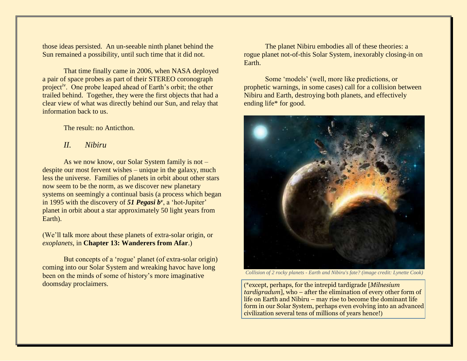those ideas persisted. An un-seeable ninth planet behind the Sun remained a possibility, until such time that it did not.

That time finally came in 2006, when NASA deployed a pair of space probes as part of their STEREO coronograph project<sup>iv</sup>. One probe leaped ahead of Earth's orbit; the other trailed behind. Together, they were the first objects that had a clear view of what was directly behind our Sun, and relay that information back to us.

The result: no Anticthon.

*II. Nibiru*

As we now know, our Solar System family is not – despite our most fervent wishes – unique in the galaxy, much less the universe. Families of planets in orbit about other stars now seem to be the norm, as we discover new planetary systems on seemingly a continual basis (a process which began in 1995 with the discovery of *51 Pegasi b<sup>v</sup>* , a 'hot-Jupiter' planet in orbit about a star approximately 50 light years from Earth).

(We'll talk more about these planets of extra-solar origin, or *exoplanets*, in **Chapter 13: Wanderers from Afar**.)

But concepts of a 'rogue' planet (of extra-solar origin) coming into our Solar System and wreaking havoc have long been on the minds of some of history's more imaginative doomsday proclaimers.

The planet Nibiru embodies all of these theories: a rogue planet not-of-this Solar System, inexorably closing-in on Earth.

Some 'models' (well, more like predictions, or prophetic warnings, in some cases) call for a collision between Nibiru and Earth, destroying both planets, and effectively ending life\* for good.



*Collision of 2 rocky planets - Earth and Nibiru's fate? (image credit: Lynette Cook)*

(\*except, perhaps, for the intrepid tardigrade [*Milnesium tardigradum*], who – after the elimination of every other form of life on Earth and Nibiru – may rise to become the dominant life form in our Solar System, perhaps even evolving into an advanced civilization several tens of millions of years hence!)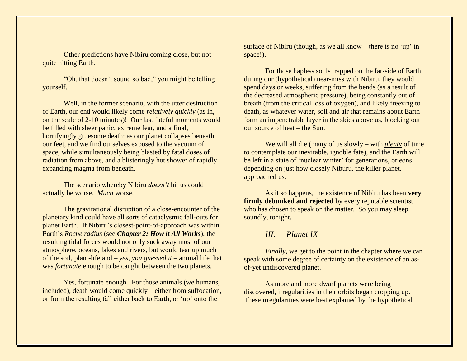Other predictions have Nibiru coming close, but not quite hitting Earth.

"Oh, that doesn't sound so bad," you might be telling yourself.

Well, in the former scenario, with the utter destruction of Earth, our end would likely come *relatively quickly* (as in, on the scale of 2-10 minutes)! Our last fateful moments would be filled with sheer panic, extreme fear, and a final, horrifyingly gruesome death: as our planet collapses beneath our feet, and we find ourselves exposed to the vacuum of space, while simultaneously being blasted by fatal doses of radiation from above, and a blisteringly hot shower of rapidly expanding magma from beneath.

The scenario whereby Nibiru *doesn't* hit us could actually be worse. *Much* worse.

The gravitational disruption of a close-encounter of the planetary kind could have all sorts of cataclysmic fall-outs for planet Earth. If Nibiru's closest-point-of-approach was within Earth's *Roche radius* (see *Chapter 2: How it All Works*), the resulting tidal forces would not only suck away most of our atmosphere, oceans, lakes and rivers, but would tear up much of the soil, plant-life and – *yes, you guessed it* – animal life that was *fortunate* enough to be caught between the two planets.

Yes, fortunate enough. For those animals (we humans, included), death would come quickly – either from suffocation, or from the resulting fall either back to Earth, or 'up' onto the

surface of Nibiru (though, as we all know – there is no 'up' in space!).

For those hapless souls trapped on the far-side of Earth during our (hypothetical) near-miss with Nibiru, they would spend days or weeks, suffering from the bends (as a result of the decreased atmospheric pressure), being constantly out of breath (from the critical loss of oxygen), and likely freezing to death, as whatever water, soil and air that remains about Earth form an impenetrable layer in the skies above us, blocking out our source of heat – the Sun.

We will all die (many of us slowly – with *plenty* of time to contemplate our inevitable, ignoble fate), and the Earth will be left in a state of 'nuclear winter' for generations, or eons – depending on just how closely Niburu, the killer planet, approached us.

As it so happens, the existence of Nibiru has been **very firmly debunked and rejected** by every reputable scientist who has chosen to speak on the matter. So you may sleep soundly, tonight.

## *III. Planet IX*

*Finally*, we get to the point in the chapter where we can speak with some degree of certainty on the existence of an asof-yet undiscovered planet.

As more and more dwarf planets were being discovered, irregularities in their orbits began cropping up. These irregularities were best explained by the hypothetical